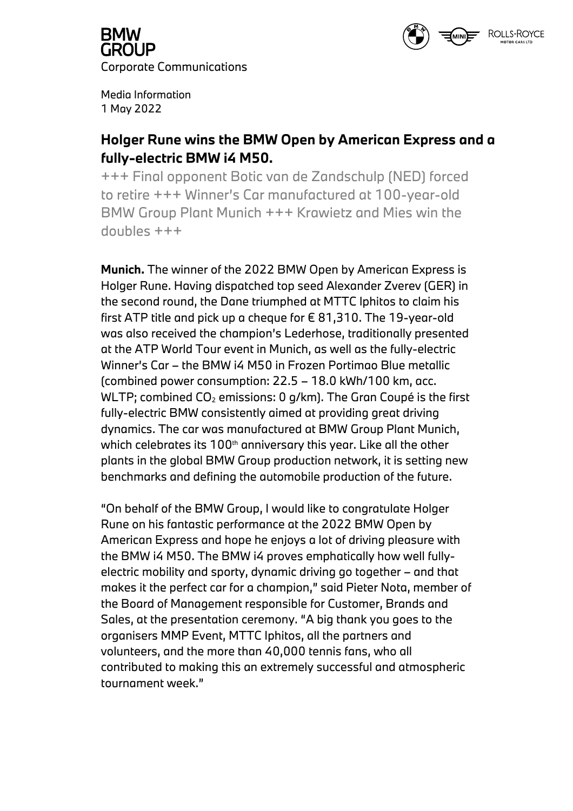

**GROUP** Corporate Communications

Media Information 1 May 2022

### **Holger Rune wins the BMW Open by American Express and a fully-electric BMW i4 M50.**

+++ Final opponent Botic van de Zandschulp (NED) forced to retire +++ Winner's Car manufactured at 100-year-old BMW Group Plant Munich +++ Krawietz and Mies win the doubles +++

**Munich.** The winner of the 2022 BMW Open by American Express is Holger Rune. Having dispatched top seed Alexander Zverev (GER) in the second round, the Dane triumphed at MTTC Iphitos to claim his first ATP title and pick up a cheque for  $\epsilon$  81,310. The 19-year-old was also received the champion's Lederhose, traditionally presented at the ATP World Tour event in Munich, as well as the fully-electric Winner's Car – the BMW i4 M50 in Frozen Portimao Blue metallic (combined power consumption: 22.5 – 18.0 kWh/100 km, acc. WLTP; combined  $CO<sub>2</sub>$  emissions: 0 g/km). The Gran Coupé is the first fully-electric BMW consistently aimed at providing great driving dynamics. The car was manufactured at BMW Group Plant Munich, which celebrates its  $100<sup>th</sup>$  anniversary this year. Like all the other plants in the global BMW Group production network, it is setting new benchmarks and defining the automobile production of the future.

"On behalf of the BMW Group, I would like to congratulate Holger Rune on his fantastic performance at the 2022 BMW Open by American Express and hope he enjoys a lot of driving pleasure with the BMW i4 M50. The BMW i4 proves emphatically how well fullyelectric mobility and sporty, dynamic driving go together – and that makes it the perfect car for a champion," said Pieter Nota, member of the Board of Management responsible for Customer, Brands and Sales, at the presentation ceremony. "A big thank you goes to the organisers MMP Event, MTTC Iphitos, all the partners and volunteers, and the more than 40,000 tennis fans, who all contributed to making this an extremely successful and atmospheric tournament week."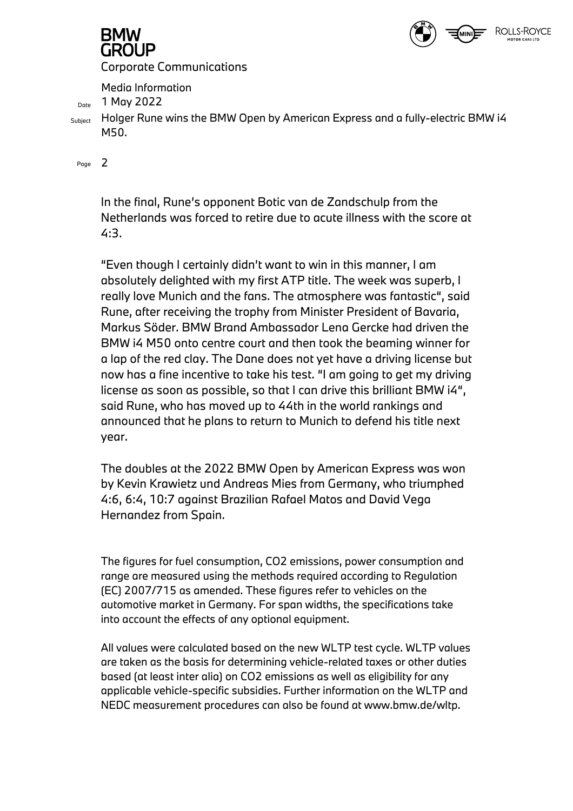

# **GROUP**

Corporate Communications

Media Information

Date 1 May 2022

 $_{\text{Subject}}$  Holger Rune wins the BMW Open by American Express and a fully-electric BMW i4 M50.

Page 2

In the final, Rune's opponent Botic van de Zandschulp from the Netherlands was forced to retire due to acute illness with the score at 4:3.

"Even though I certainly didn't want to win in this manner, I am absolutely delighted with my first ATP title. The week was superb, I really love Munich and the fans. The atmosphere was fantastic", said Rune, after receiving the trophy from Minister President of Bavaria, Markus Söder. BMW Brand Ambassador Lena Gercke had driven the BMW i4 M50 onto centre court and then took the beaming winner for a lap of the red clay. The Dane does not yet have a driving license but now has a fine incentive to take his test. "I am going to get my driving license as soon as possible, so that I can drive this brilliant BMW i4", said Rune, who has moved up to 44th in the world rankings and announced that he plans to return to Munich to defend his title next year.

The doubles at the 2022 BMW Open by American Express was won by Kevin Krawietz und Andreas Mies from Germany, who triumphed 4:6, 6:4, 10:7 against Brazilian Rafael Matos and David Vega Hernandez from Spain.

The figures for fuel consumption, CO2 emissions, power consumption and range are measured using the methods required according to Regulation (EC) 2007/715 as amended. These figures refer to vehicles on the automotive market in Germany. For span widths, the specifications take into account the effects of any optional equipment.

All values were calculated based on the new WLTP test cycle. WLTP values are taken as the basis for determining vehicle-related taxes or other duties based (at least inter alia) on CO2 emissions as well as eligibility for any applicable vehicle-specific subsidies. Further information on the WLTP and NEDC measurement procedures can also be found at www.bmw.de/wltp.